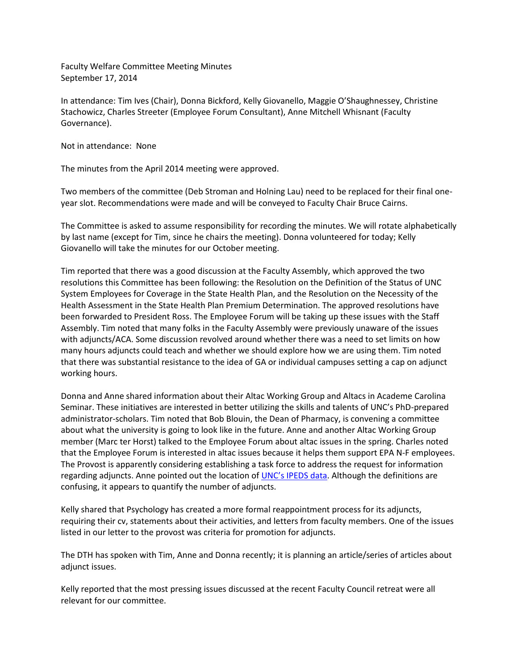Faculty Welfare Committee Meeting Minutes September 17, 2014

In attendance: Tim Ives (Chair), Donna Bickford, Kelly Giovanello, Maggie O'Shaughnessey, Christine Stachowicz, Charles Streeter (Employee Forum Consultant), Anne Mitchell Whisnant (Faculty Governance).

Not in attendance: None

The minutes from the April 2014 meeting were approved.

Two members of the committee (Deb Stroman and Holning Lau) need to be replaced for their final oneyear slot. Recommendations were made and will be conveyed to Faculty Chair Bruce Cairns.

The Committee is asked to assume responsibility for recording the minutes. We will rotate alphabetically by last name (except for Tim, since he chairs the meeting). Donna volunteered for today; Kelly Giovanello will take the minutes for our October meeting.

Tim reported that there was a good discussion at the Faculty Assembly, which approved the two resolutions this Committee has been following: the Resolution on the Definition of the Status of UNC System Employees for Coverage in the State Health Plan, and the Resolution on the Necessity of the Health Assessment in the State Health Plan Premium Determination. The approved resolutions have been forwarded to President Ross. The Employee Forum will be taking up these issues with the Staff Assembly. Tim noted that many folks in the Faculty Assembly were previously unaware of the issues with adjuncts/ACA. Some discussion revolved around whether there was a need to set limits on how many hours adjuncts could teach and whether we should explore how we are using them. Tim noted that there was substantial resistance to the idea of GA or individual campuses setting a cap on adjunct working hours.

Donna and Anne shared information about their Altac Working Group and Altacs in Academe Carolina Seminar. These initiatives are interested in better utilizing the skills and talents of UNC's PhD-prepared administrator-scholars. Tim noted that Bob Blouin, the Dean of Pharmacy, is convening a committee about what the university is going to look like in the future. Anne and another Altac Working Group member (Marc ter Horst) talked to the Employee Forum about altac issues in the spring. Charles noted that the Employee Forum is interested in altac issues because it helps them support EPA N-F employees. The Provost is apparently considering establishing a task force to address the request for information regarding adjuncts. Anne pointed out the location of [UNC's IPEDS data](http://oira.unc.edu/facts-and-figures/data-summaries-and-publications/integrated-postsecondary-education-data-system-ipeds/). Although the definitions are confusing, it appears to quantify the number of adjuncts.

Kelly shared that Psychology has created a more formal reappointment process for its adjuncts, requiring their cv, statements about their activities, and letters from faculty members. One of the issues listed in our letter to the provost was criteria for promotion for adjuncts.

The DTH has spoken with Tim, Anne and Donna recently; it is planning an article/series of articles about adjunct issues.

Kelly reported that the most pressing issues discussed at the recent Faculty Council retreat were all relevant for our committee.